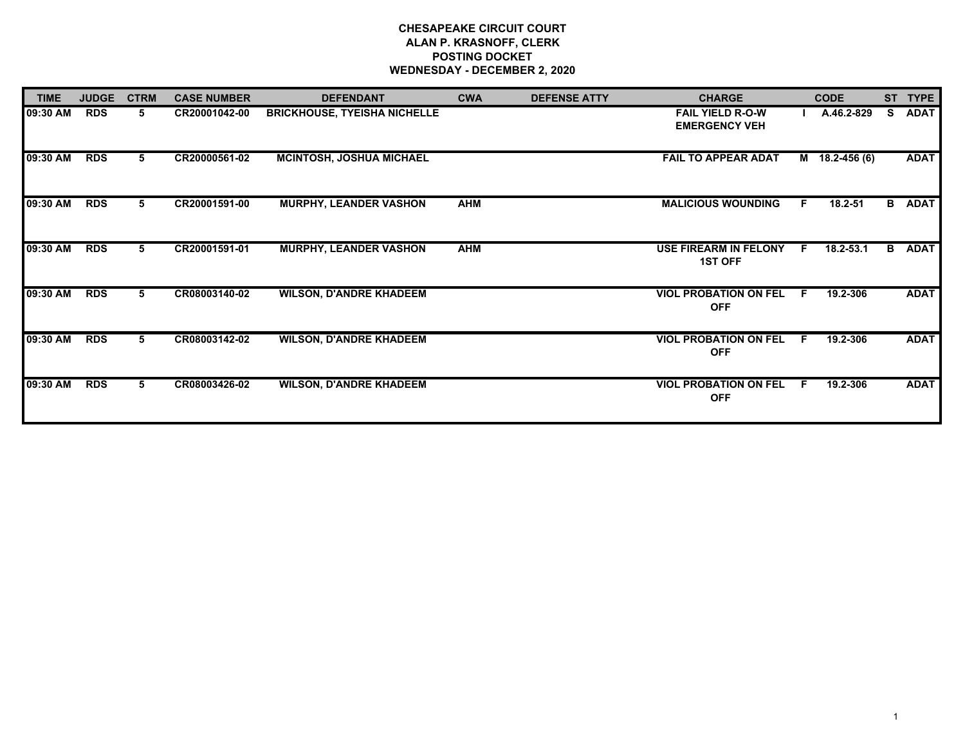# **CHESAPEAKE CIRCUIT COURT ALAN P. KRASNOFF, CLERK POSTING DOCKET WEDNESDAY - DECEMBER 2, 2020**

| <b>TIME</b> | <b>JUDGE</b> | <b>CTRM</b> | <b>CASE NUMBER</b> | <b>DEFENDANT</b>                    | <b>CWA</b> | <b>DEFENSE ATTY</b> | <b>CHARGE</b>                                   |    | <b>CODE</b>  | <b>ST</b> | <b>TYPE</b>   |
|-------------|--------------|-------------|--------------------|-------------------------------------|------------|---------------------|-------------------------------------------------|----|--------------|-----------|---------------|
| 09:30 AM    | <b>RDS</b>   | 5           | CR20001042-00      | <b>BRICKHOUSE, TYEISHA NICHELLE</b> |            |                     | <b>FAIL YIELD R-O-W</b><br><b>EMERGENCY VEH</b> |    | A.46.2-829   | S.        | <b>ADAT</b>   |
| 09:30 AM    | <b>RDS</b>   | 5.          | CR20000561-02      | <b>MCINTOSH, JOSHUA MICHAEL</b>     |            |                     | <b>FAIL TO APPEAR ADAT</b>                      | M  | 18.2-456 (6) |           | <b>ADAT</b>   |
| 09:30 AM    | <b>RDS</b>   | 5           | CR20001591-00      | <b>MURPHY, LEANDER VASHON</b>       | <b>AHM</b> |                     | <b>MALICIOUS WOUNDING</b>                       | F. | $18.2 - 51$  |           | <b>B</b> ADAT |
| 09:30 AM    | <b>RDS</b>   | 5.          | CR20001591-01      | <b>MURPHY, LEANDER VASHON</b>       | <b>AHM</b> |                     | <b>USE FIREARM IN FELONY</b><br><b>1ST OFF</b>  | F. | 18.2-53.1    |           | <b>B</b> ADAT |
| 09:30 AM    | <b>RDS</b>   | 5.          | CR08003140-02      | <b>WILSON, D'ANDRE KHADEEM</b>      |            |                     | <b>VIOL PROBATION ON FEL</b><br><b>OFF</b>      | F. | 19.2-306     |           | <b>ADAT</b>   |
| 09:30 AM    | <b>RDS</b>   | 5.          | CR08003142-02      | <b>WILSON, D'ANDRE KHADEEM</b>      |            |                     | <b>VIOL PROBATION ON FEL</b><br><b>OFF</b>      | F. | 19.2-306     |           | <b>ADAT</b>   |
| 09:30 AM    | <b>RDS</b>   | 5.          | CR08003426-02      | <b>WILSON, D'ANDRE KHADEEM</b>      |            |                     | <b>VIOL PROBATION ON FEL</b><br><b>OFF</b>      | F. | 19.2-306     |           | <b>ADAT</b>   |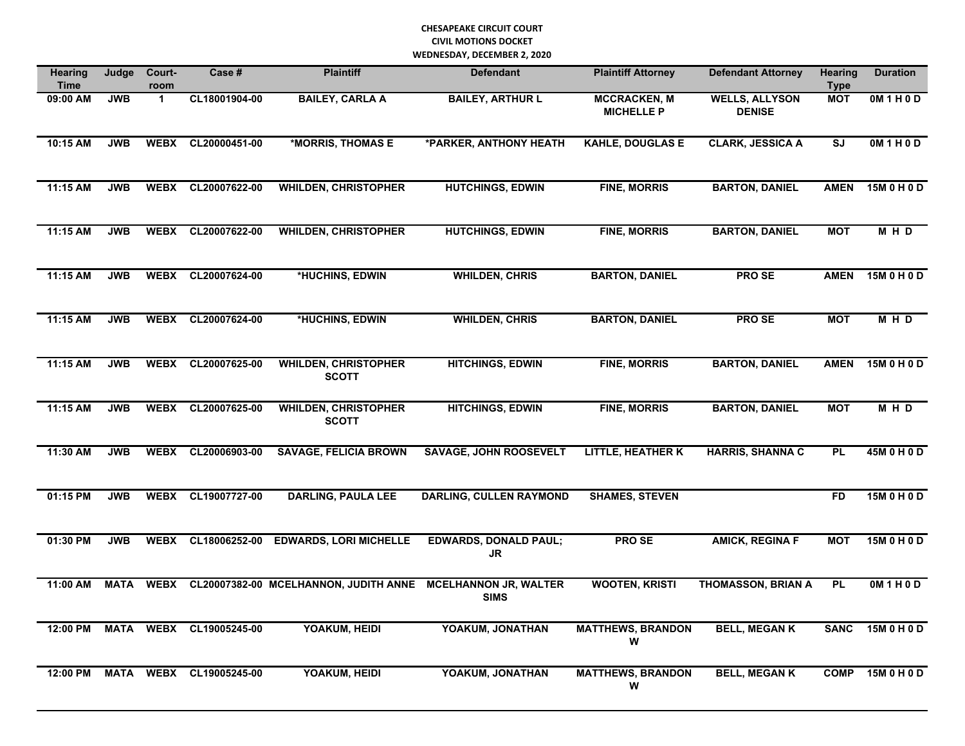| <b>Hearing</b><br><b>Time</b> | Judge       | Court-<br>room | Case #        | <b>Plaintiff</b>                            | <b>Defendant</b>                            | <b>Plaintiff Attorney</b>                | <b>Defendant Attorney</b>              | <b>Hearing</b><br><b>Type</b> | <b>Duration</b> |
|-------------------------------|-------------|----------------|---------------|---------------------------------------------|---------------------------------------------|------------------------------------------|----------------------------------------|-------------------------------|-----------------|
| 09:00 AM                      | <b>JWB</b>  | $\mathbf 1$    | CL18001904-00 | <b>BAILEY, CARLA A</b>                      | <b>BAILEY, ARTHUR L</b>                     | <b>MCCRACKEN, M</b><br><b>MICHELLE P</b> | <b>WELLS, ALLYSON</b><br><b>DENISE</b> | <b>MOT</b>                    | OM1H0D          |
| 10:15 AM                      | <b>JWB</b>  | <b>WEBX</b>    | CL20000451-00 | *MORRIS, THOMAS E                           | *PARKER, ANTHONY HEATH                      | <b>KAHLE, DOUGLAS E</b>                  | <b>CLARK, JESSICA A</b>                | <b>SJ</b>                     | OM1H0D          |
| 11:15 AM                      | <b>JWB</b>  | <b>WEBX</b>    | CL20007622-00 | <b>WHILDEN, CHRISTOPHER</b>                 | <b>HUTCHINGS, EDWIN</b>                     | <b>FINE, MORRIS</b>                      | <b>BARTON, DANIEL</b>                  | <b>AMEN</b>                   | 15M 0 H 0 D     |
| 11:15 AM                      | <b>JWB</b>  | <b>WEBX</b>    | CL20007622-00 | <b>WHILDEN, CHRISTOPHER</b>                 | <b>HUTCHINGS, EDWIN</b>                     | <b>FINE, MORRIS</b>                      | <b>BARTON, DANIEL</b>                  | <b>MOT</b>                    | M H D           |
| 11:15 AM                      | <b>JWB</b>  | <b>WEBX</b>    | CL20007624-00 | *HUCHINS, EDWIN                             | <b>WHILDEN, CHRIS</b>                       | <b>BARTON, DANIEL</b>                    | <b>PROSE</b>                           | <b>AMEN</b>                   | 15M0H0D         |
| 11:15 AM                      | <b>JWB</b>  | <b>WEBX</b>    | CL20007624-00 | *HUCHINS, EDWIN                             | <b>WHILDEN, CHRIS</b>                       | <b>BARTON, DANIEL</b>                    | <b>PROSE</b>                           | <b>MOT</b>                    | M H D           |
| 11:15 AM                      | <b>JWB</b>  | <b>WEBX</b>    | CL20007625-00 | <b>WHILDEN, CHRISTOPHER</b><br><b>SCOTT</b> | <b>HITCHINGS, EDWIN</b>                     | <b>FINE, MORRIS</b>                      | <b>BARTON, DANIEL</b>                  | <b>AMEN</b>                   | 15M 0 H 0 D     |
| 11:15 AM                      | <b>JWB</b>  | <b>WEBX</b>    | CL20007625-00 | <b>WHILDEN, CHRISTOPHER</b><br><b>SCOTT</b> | <b>HITCHINGS, EDWIN</b>                     | <b>FINE, MORRIS</b>                      | <b>BARTON, DANIEL</b>                  | <b>MOT</b>                    | MHD             |
| 11:30 AM                      | <b>JWB</b>  | <b>WEBX</b>    | CL20006903-00 | <b>SAVAGE, FELICIA BROWN</b>                | <b>SAVAGE, JOHN ROOSEVELT</b>               | <b>LITTLE, HEATHER K</b>                 | <b>HARRIS, SHANNA C</b>                | <b>PL</b>                     | 45M 0 H 0 D     |
| 01:15 PM                      | <b>JWB</b>  | <b>WEBX</b>    | CL19007727-00 | <b>DARLING, PAULA LEE</b>                   | <b>DARLING, CULLEN RAYMOND</b>              | <b>SHAMES, STEVEN</b>                    |                                        | <b>FD</b>                     | 15M 0 H 0 D     |
| 01:30 PM                      | <b>JWB</b>  | <b>WEBX</b>    | CL18006252-00 | <b>EDWARDS, LORI MICHELLE</b>               | <b>EDWARDS, DONALD PAUL;</b><br><b>JR</b>   | <b>PROSE</b>                             | <b>AMICK, REGINA F</b>                 | <b>MOT</b>                    | 15M 0 H 0 D     |
| 11:00 AM                      | <b>MATA</b> | <b>WEBX</b>    |               | CL20007382-00 MCELHANNON, JUDITH ANNE       | <b>MCELHANNON JR, WALTER</b><br><b>SIMS</b> | <b>WOOTEN, KRISTI</b>                    | <b>THOMASSON, BRIAN A</b>              | <b>PL</b>                     | 0M 1 H 0 D      |
| 12:00 PM                      | <b>MATA</b> | <b>WEBX</b>    | CL19005245-00 | YOAKUM, HEIDI                               | YOAKUM, JONATHAN                            | <b>MATTHEWS, BRANDON</b><br>W            | <b>BELL, MEGAN K</b>                   | <b>SANC</b>                   | 15M 0 H 0 D     |
| 12:00 PM                      | <b>MATA</b> | <b>WEBX</b>    | CL19005245-00 | YOAKUM, HEIDI                               | YOAKUM, JONATHAN                            | <b>MATTHEWS, BRANDON</b><br>W            | <b>BELL, MEGAN K</b>                   | <b>COMP</b>                   | 15M 0 H 0 D     |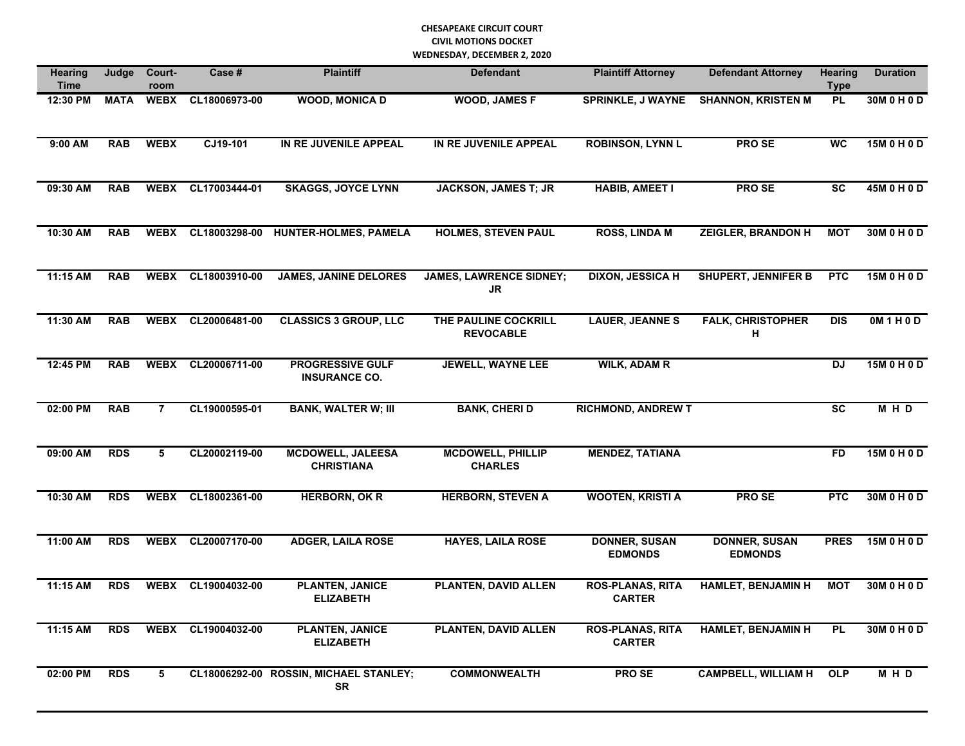| Hearing<br><b>Time</b> | Judge       | Court-<br>room | Case #             | <b>Plaintiff</b>                                    | <b>Defendant</b>                            | <b>Plaintiff Attorney</b><br><b>Defendant Attorney</b> |                                        | <b>Hearing</b><br><b>Type</b> | <b>Duration</b> |
|------------------------|-------------|----------------|--------------------|-----------------------------------------------------|---------------------------------------------|--------------------------------------------------------|----------------------------------------|-------------------------------|-----------------|
| 12:30 PM               | <b>MATA</b> | <b>WEBX</b>    | CL18006973-00      | <b>WOOD, MONICA D</b>                               | <b>WOOD, JAMES F</b>                        | <b>SPRINKLE, J WAYNE</b>                               | <b>SHANNON, KRISTEN M</b>              | <b>PL</b>                     | 30M 0 H 0 D     |
| 9:00 AM                | <b>RAB</b>  | <b>WEBX</b>    | CJ19-101           | IN RE JUVENILE APPEAL                               | IN RE JUVENILE APPEAL                       | <b>ROBINSON, LYNN L</b>                                | PRO SE                                 | <b>WC</b>                     | 15M 0 H 0 D     |
| 09:30 AM               | <b>RAB</b>  | <b>WEBX</b>    | CL17003444-01      | <b>SKAGGS, JOYCE LYNN</b>                           | <b>JACKSON, JAMES T; JR</b>                 | <b>HABIB, AMEET I</b>                                  | PRO SE                                 | <b>SC</b>                     | 45M 0 H 0 D     |
| 10:30 AM               | <b>RAB</b>  | <b>WEBX</b>    | CL18003298-00      | <b>HUNTER-HOLMES, PAMELA</b>                        | <b>HOLMES, STEVEN PAUL</b>                  | <b>ROSS, LINDA M</b>                                   | <b>ZEIGLER, BRANDON H</b>              | <b>MOT</b>                    | 30M 0 H 0 D     |
| 11:15 AM               | <b>RAB</b>  | <b>WEBX</b>    | CL18003910-00      | <b>JAMES, JANINE DELORES</b>                        | <b>JAMES, LAWRENCE SIDNEY;</b><br><b>JR</b> | <b>DIXON, JESSICA H</b>                                | <b>SHUPERT, JENNIFER B</b>             | <b>PTC</b>                    | 15M 0 H 0 D     |
| 11:30 AM               | <b>RAB</b>  | <b>WEBX</b>    | CL20006481-00      | <b>CLASSICS 3 GROUP, LLC</b>                        | THE PAULINE COCKRILL<br><b>REVOCABLE</b>    | <b>LAUER, JEANNES</b>                                  | <b>FALK, CHRISTOPHER</b><br>н          | <b>DIS</b>                    | OM1H0D          |
| 12:45 PM               | <b>RAB</b>  | <b>WEBX</b>    | CL20006711-00      | <b>PROGRESSIVE GULF</b><br><b>INSURANCE CO.</b>     | <b>JEWELL, WAYNE LEE</b>                    | <b>WILK, ADAM R</b>                                    |                                        | DJ                            | 15M 0 H 0 D     |
| 02:00 PM               | <b>RAB</b>  | $\overline{7}$ | CL19000595-01      | <b>BANK, WALTER W; III</b>                          | <b>BANK, CHERID</b>                         | <b>RICHMOND, ANDREW T</b>                              |                                        | $\overline{\mathsf{sc}}$      | MHD             |
| 09:00 AM               | <b>RDS</b>  | 5              | CL20002119-00      | <b>MCDOWELL, JALEESA</b><br><b>CHRISTIANA</b>       | <b>MCDOWELL, PHILLIP</b><br><b>CHARLES</b>  | <b>MENDEZ, TATIANA</b>                                 |                                        | <b>FD</b>                     | 15M 0 H 0 D     |
| 10:30 AM               | <b>RDS</b>  | <b>WEBX</b>    | CL18002361-00      | <b>HERBORN, OK R</b>                                | <b>HERBORN, STEVEN A</b>                    | <b>WOOTEN, KRISTI A</b>                                | PRO SE                                 | <b>PTC</b>                    | 30M 0 H 0 D     |
| 11:00 AM               | <b>RDS</b>  | <b>WEBX</b>    | CL20007170-00      | <b>ADGER, LAILA ROSE</b>                            | <b>HAYES, LAILA ROSE</b>                    | <b>DONNER, SUSAN</b><br><b>EDMONDS</b>                 | <b>DONNER, SUSAN</b><br><b>EDMONDS</b> | <b>PRES</b>                   | 15M 0 H 0 D     |
| 11:15 AM               | <b>RDS</b>  | <b>WEBX</b>    | CL19004032-00      | <b>PLANTEN, JANICE</b><br><b>ELIZABETH</b>          | PLANTEN, DAVID ALLEN                        | <b>ROS-PLANAS, RITA</b><br><b>CARTER</b>               | <b>HAMLET, BENJAMIN H</b>              | <b>MOT</b>                    | 30M 0 H 0 D     |
| 11:15 AM               | <b>RDS</b>  |                | WEBX CL19004032-00 | <b>PLANTEN, JANICE</b><br><b>ELIZABETH</b>          | PLANTEN, DAVID ALLEN                        | <b>ROS-PLANAS, RITA</b><br><b>CARTER</b>               | <b>HAMLET, BENJAMIN H</b>              | <b>PL</b>                     | 30M 0 H 0 D     |
| 02:00 PM               | <b>RDS</b>  | 5              |                    | CL18006292-00 ROSSIN, MICHAEL STANLEY;<br><b>SR</b> | <b>COMMONWEALTH</b>                         | PRO SE                                                 | <b>CAMPBELL, WILLIAM H</b>             | <b>OLP</b>                    | MHD             |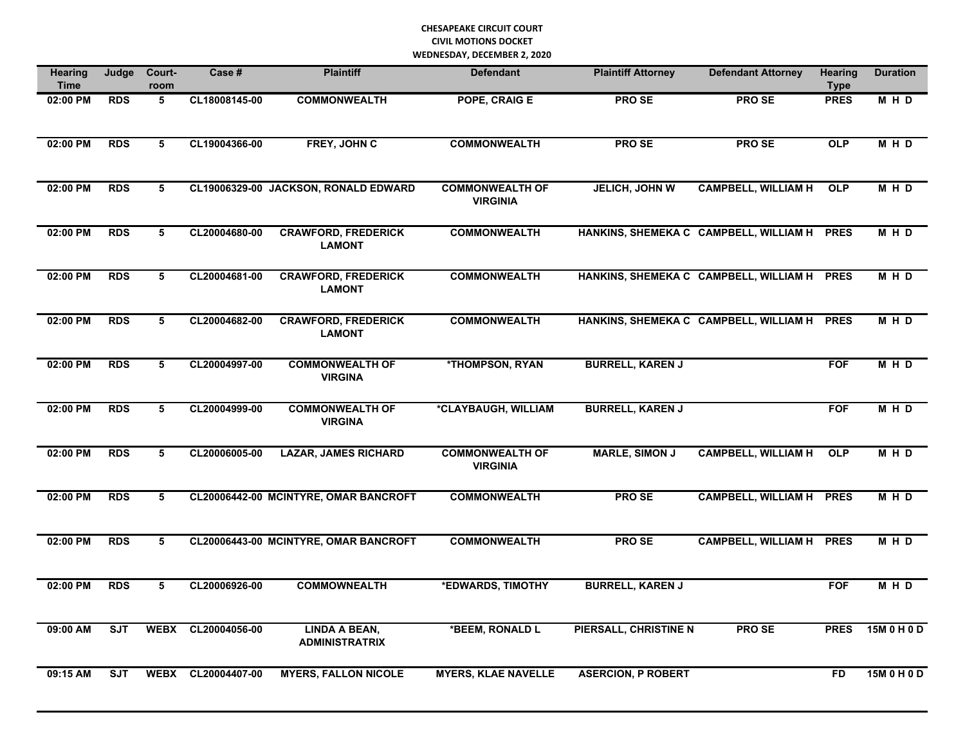| <b>Hearing</b><br><b>Time</b> | Judge      | Court-<br>room          | Case#         | <b>Plaintiff</b>                              | <b>Defendant</b>                          | <b>Plaintiff Attorney</b> | <b>Defendant Attorney</b>                   | <b>Hearing</b><br><b>Type</b> | <b>Duration</b> |
|-------------------------------|------------|-------------------------|---------------|-----------------------------------------------|-------------------------------------------|---------------------------|---------------------------------------------|-------------------------------|-----------------|
| 02:00 PM                      | <b>RDS</b> | 5                       | CL18008145-00 | <b>COMMONWEALTH</b>                           | POPE, CRAIG E                             | <b>PRO SE</b>             | <b>PRO SE</b>                               | <b>PRES</b>                   | M H D           |
| 02:00 PM                      | <b>RDS</b> | 5                       | CL19004366-00 | FREY, JOHN C                                  | <b>COMMONWEALTH</b>                       | PRO SE                    | PRO SE                                      | <b>OLP</b>                    | M H D           |
| 02:00 PM                      | <b>RDS</b> | $\overline{\mathbf{5}}$ |               | CL19006329-00 JACKSON, RONALD EDWARD          | <b>COMMONWEALTH OF</b><br><b>VIRGINIA</b> | <b>JELICH, JOHN W</b>     | <b>CAMPBELL, WILLIAM H</b>                  | OLP                           | M H D           |
| 02:00 PM                      | <b>RDS</b> | 5                       | CL20004680-00 | <b>CRAWFORD, FREDERICK</b><br><b>LAMONT</b>   | <b>COMMONWEALTH</b>                       |                           | HANKINS, SHEMEKA C CAMPBELL, WILLIAM H PRES |                               | M H D           |
| 02:00 PM                      | <b>RDS</b> | 5                       | CL20004681-00 | <b>CRAWFORD, FREDERICK</b><br><b>LAMONT</b>   | <b>COMMONWEALTH</b>                       |                           | HANKINS, SHEMEKA C CAMPBELL, WILLIAM H PRES |                               | <b>MHD</b>      |
| 02:00 PM                      | <b>RDS</b> | 5                       | CL20004682-00 | <b>CRAWFORD, FREDERICK</b><br><b>LAMONT</b>   | <b>COMMONWEALTH</b>                       |                           | HANKINS, SHEMEKA C CAMPBELL, WILLIAM H PRES |                               | MHD             |
| 02:00 PM                      | <b>RDS</b> | 5                       | CL20004997-00 | <b>COMMONWEALTH OF</b><br><b>VIRGINA</b>      | *THOMPSON, RYAN                           | <b>BURRELL, KAREN J</b>   |                                             | <b>FOF</b>                    | <b>MHD</b>      |
| 02:00 PM                      | <b>RDS</b> | $\overline{5}$          | CL20004999-00 | <b>COMMONWEALTH OF</b><br><b>VIRGINA</b>      | *CLAYBAUGH, WILLIAM                       | <b>BURRELL, KAREN J</b>   |                                             | <b>FOF</b>                    | MHD             |
| 02:00 PM                      | <b>RDS</b> | 5                       | CL20006005-00 | <b>LAZAR, JAMES RICHARD</b>                   | <b>COMMONWEALTH OF</b><br><b>VIRGINIA</b> | <b>MARLE, SIMON J</b>     | <b>CAMPBELL, WILLIAM H</b>                  | <b>OLP</b>                    | M H D           |
| 02:00 PM                      | <b>RDS</b> | 5                       |               | CL20006442-00 MCINTYRE, OMAR BANCROFT         | <b>COMMONWEALTH</b>                       | <b>PROSE</b>              | <b>CAMPBELL, WILLIAM H PRES</b>             |                               | <b>MHD</b>      |
| 02:00 PM                      | <b>RDS</b> | 5                       |               | CL20006443-00 MCINTYRE, OMAR BANCROFT         | <b>COMMONWEALTH</b>                       | <b>PRO SE</b>             | <b>CAMPBELL, WILLIAM H PRES</b>             |                               | <b>MHD</b>      |
| 02:00 PM                      | <b>RDS</b> | 5                       | CL20006926-00 | <b>COMMOWNEALTH</b>                           | *EDWARDS, TIMOTHY                         | <b>BURRELL, KAREN J</b>   |                                             | <b>FOF</b>                    | <b>MHD</b>      |
| 09:00 AM                      | <b>SJT</b> | <b>WEBX</b>             | CL20004056-00 | <b>LINDA A BEAN,</b><br><b>ADMINISTRATRIX</b> | *BEEM, RONALD L                           | PIERSALL, CHRISTINE N     | PRO SE                                      | <b>PRES</b>                   | 15M 0 H 0 D     |
| 09:15 AM                      | <b>SJT</b> | <b>WEBX</b>             | CL20004407-00 | <b>MYERS, FALLON NICOLE</b>                   | <b>MYERS, KLAE NAVELLE</b>                | <b>ASERCION, P ROBERT</b> |                                             | <b>FD</b>                     | 15M 0 H 0 D     |